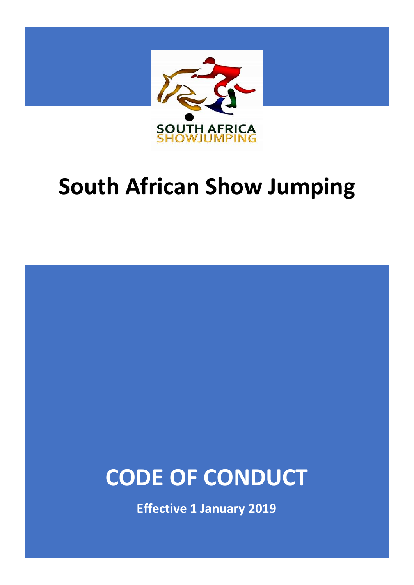

# **South African Show Jumping**

# **CODE OF CONDUCT**

**Effective 1 January 2019**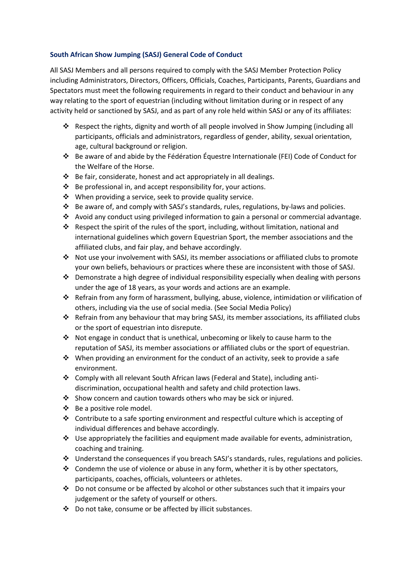### **South African Show Jumping (SASJ) General Code of Conduct**

All SASJ Members and all persons required to comply with the SASJ Member Protection Policy including Administrators, Directors, Officers, Officials, Coaches, Participants, Parents, Guardians and Spectators must meet the following requirements in regard to their conduct and behaviour in any way relating to the sport of equestrian (including without limitation during or in respect of any activity held or sanctioned by SASJ, and as part of any role held within SASJ or any of its affiliates:

- ❖ Respect the rights, dignity and worth of all people involved in Show Jumping (including all participants, officials and administrators, regardless of gender, ability, sexual orientation, age, cultural background or religion.
- ❖ Be aware of and abide by the Fédération Équestre Internationale (FEI) Code of Conduct for the Welfare of the Horse.
- ❖ Be fair, considerate, honest and act appropriately in all dealings.
- ❖ Be professional in, and accept responsibility for, your actions.
- ❖ When providing a service, seek to provide quality service.
- ❖ Be aware of, and comply with SASJ's standards, rules, regulations, by-laws and policies.
- ❖ Avoid any conduct using privileged information to gain a personal or commercial advantage.
- ❖ Respect the spirit of the rules of the sport, including, without limitation, national and international guidelines which govern Equestrian Sport, the member associations and the affiliated clubs, and fair play, and behave accordingly.
- ❖ Not use your involvement with SASJ, its member associations or affiliated clubs to promote your own beliefs, behaviours or practices where these are inconsistent with those of SASJ.
- $\div$  Demonstrate a high degree of individual responsibility especially when dealing with persons under the age of 18 years, as your words and actions are an example.
- ❖ Refrain from any form of harassment, bullying, abuse, violence, intimidation or vilification of others, including via the use of social media. (See Social Media Policy)
- ❖ Refrain from any behaviour that may bring SASJ, its member associations, its affiliated clubs or the sport of equestrian into disrepute.
- ❖ Not engage in conduct that is unethical, unbecoming or likely to cause harm to the reputation of SASJ, its member associations or affiliated clubs or the sport of equestrian.
- ❖ When providing an environment for the conduct of an activity, seek to provide a safe environment.
- ❖ Comply with all relevant South African laws (Federal and State), including antidiscrimination, occupational health and safety and child protection laws.
- ❖ Show concern and caution towards others who may be sick or injured.
- ❖ Be a positive role model.
- ❖ Contribute to a safe sporting environment and respectful culture which is accepting of individual differences and behave accordingly.
- $\cdot \cdot$  Use appropriately the facilities and equipment made available for events, administration, coaching and training.
- ❖ Understand the consequences if you breach SASJ's standards, rules, regulations and policies.
- ❖ Condemn the use of violence or abuse in any form, whether it is by other spectators, participants, coaches, officials, volunteers or athletes.
- $♦$  Do not consume or be affected by alcohol or other substances such that it impairs your judgement or the safety of yourself or others.
- ❖ Do not take, consume or be affected by illicit substances.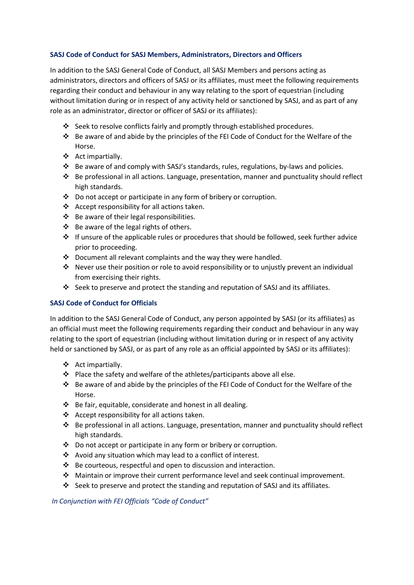### **SASJ Code of Conduct for SASJ Members, Administrators, Directors and Officers**

In addition to the SASJ General Code of Conduct, all SASJ Members and persons acting as administrators, directors and officers of SASJ or its affiliates, must meet the following requirements regarding their conduct and behaviour in any way relating to the sport of equestrian (including without limitation during or in respect of any activity held or sanctioned by SASJ, and as part of any role as an administrator, director or officer of SASJ or its affiliates):

- ❖ Seek to resolve conflicts fairly and promptly through established procedures.
- ❖ Be aware of and abide by the principles of the FEI Code of Conduct for the Welfare of the Horse.
- ❖ Act impartially.
- ❖ Be aware of and comply with SASJ's standards, rules, regulations, by-laws and policies.
- ❖ Be professional in all actions. Language, presentation, manner and punctuality should reflect high standards.
- ❖ Do not accept or participate in any form of bribery or corruption.
- ❖ Accept responsibility for all actions taken.
- ❖ Be aware of their legal responsibilities.
- ❖ Be aware of the legal rights of others.
- ❖ If unsure of the applicable rules or procedures that should be followed, seek further advice prior to proceeding.
- ❖ Document all relevant complaints and the way they were handled.
- $\dots$  Never use their position or role to avoid responsibility or to unjustly prevent an individual from exercising their rights.
- ❖ Seek to preserve and protect the standing and reputation of SASJ and its affiliates.

# **SASJ Code of Conduct for Officials**

In addition to the SASJ General Code of Conduct, any person appointed by SASJ (or its affiliates) as an official must meet the following requirements regarding their conduct and behaviour in any way relating to the sport of equestrian (including without limitation during or in respect of any activity held or sanctioned by SASJ, or as part of any role as an official appointed by SASJ or its affiliates):

- ❖ Act impartially.
- ❖ Place the safety and welfare of the athletes/participants above all else.
- ❖ Be aware of and abide by the principles of the FEI Code of Conduct for the Welfare of the Horse.
- ❖ Be fair, equitable, considerate and honest in all dealing.
- ❖ Accept responsibility for all actions taken.
- ❖ Be professional in all actions. Language, presentation, manner and punctuality should reflect high standards.
- ❖ Do not accept or participate in any form or bribery or corruption.
- ❖ Avoid any situation which may lead to a conflict of interest.
- ❖ Be courteous, respectful and open to discussion and interaction.
- ❖ Maintain or improve their current performance level and seek continual improvement.
- ❖ Seek to preserve and protect the standing and reputation of SASJ and its affiliates.

*In Conjunction with FEI Officials "Code of Conduct"*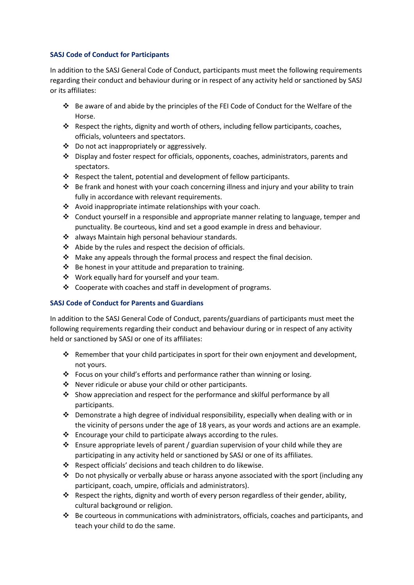#### **SASJ Code of Conduct for Participants**

In addition to the SASJ General Code of Conduct, participants must meet the following requirements regarding their conduct and behaviour during or in respect of any activity held or sanctioned by SASJ or its affiliates:

- ❖ Be aware of and abide by the principles of the FEI Code of Conduct for the Welfare of the Horse.
- ❖ Respect the rights, dignity and worth of others, including fellow participants, coaches, officials, volunteers and spectators.
- ❖ Do not act inappropriately or aggressively.
- ❖ Display and foster respect for officials, opponents, coaches, administrators, parents and spectators.
- ❖ Respect the talent, potential and development of fellow participants.
- ❖ Be frank and honest with your coach concerning illness and injury and your ability to train fully in accordance with relevant requirements.
- ❖ Avoid inappropriate intimate relationships with your coach.
- ❖ Conduct yourself in a responsible and appropriate manner relating to language, temper and punctuality. Be courteous, kind and set a good example in dress and behaviour.
- ❖ always Maintain high personal behaviour standards.
- ❖ Abide by the rules and respect the decision of officials.
- $\cdot \cdot$  Make any appeals through the formal process and respect the final decision.
- ❖ Be honest in your attitude and preparation to training.
- ❖ Work equally hard for yourself and your team.
- ❖ Cooperate with coaches and staff in development of programs.

# **SASJ Code of Conduct for Parents and Guardians**

In addition to the SASJ General Code of Conduct, parents/guardians of participants must meet the following requirements regarding their conduct and behaviour during or in respect of any activity held or sanctioned by SASJ or one of its affiliates:

- ❖ Remember that your child participates in sport for their own enjoyment and development, not yours.
- ❖ Focus on your child's efforts and performance rather than winning or losing.
- ❖ Never ridicule or abuse your child or other participants.
- ❖ Show appreciation and respect for the performance and skilful performance by all participants.
- ❖ Demonstrate a high degree of individual responsibility, especially when dealing with or in the vicinity of persons under the age of 18 years, as your words and actions are an example.
- ❖ Encourage your child to participate always according to the rules.
- ❖ Ensure appropriate levels of parent / guardian supervision of your child while they are participating in any activity held or sanctioned by SASJ or one of its affiliates.
- ❖ Respect officials' decisions and teach children to do likewise.
- ❖ Do not physically or verbally abuse or harass anyone associated with the sport (including any participant, coach, umpire, officials and administrators).
- $\cdot \cdot$  Respect the rights, dignity and worth of every person regardless of their gender, ability, cultural background or religion.
- ❖ Be courteous in communications with administrators, officials, coaches and participants, and teach your child to do the same.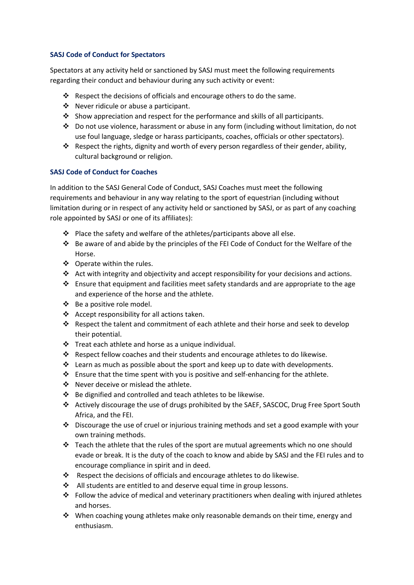#### **SASJ Code of Conduct for Spectators**

Spectators at any activity held or sanctioned by SASJ must meet the following requirements regarding their conduct and behaviour during any such activity or event:

- ❖ Respect the decisions of officials and encourage others to do the same.
- ❖ Never ridicule or abuse a participant.
- ❖ Show appreciation and respect for the performance and skills of all participants.
- ❖ Do not use violence, harassment or abuse in any form (including without limitation, do not use foul language, sledge or harass participants, coaches, officials or other spectators).
- ❖ Respect the rights, dignity and worth of every person regardless of their gender, ability, cultural background or religion.

#### **SASJ Code of Conduct for Coaches**

In addition to the SASJ General Code of Conduct, SASJ Coaches must meet the following requirements and behaviour in any way relating to the sport of equestrian (including without limitation during or in respect of any activity held or sanctioned by SASJ, or as part of any coaching role appointed by SASJ or one of its affiliates):

- ❖ Place the safety and welfare of the athletes/participants above all else.
- ❖ Be aware of and abide by the principles of the FEI Code of Conduct for the Welfare of the Horse.
- ❖ Operate within the rules.
- ❖ Act with integrity and objectivity and accept responsibility for your decisions and actions.
- ❖ Ensure that equipment and facilities meet safety standards and are appropriate to the age and experience of the horse and the athlete.
- ❖ Be a positive role model.
- ❖ Accept responsibility for all actions taken.
- ❖ Respect the talent and commitment of each athlete and their horse and seek to develop their potential.
- ❖ Treat each athlete and horse as a unique individual.
- ❖ Respect fellow coaches and their students and encourage athletes to do likewise.
- ❖ Learn as much as possible about the sport and keep up to date with developments.
- ❖ Ensure that the time spent with you is positive and self-enhancing for the athlete.
- ❖ Never deceive or mislead the athlete.
- ❖ Be dignified and controlled and teach athletes to be likewise.
- ❖ Actively discourage the use of drugs prohibited by the SAEF, SASCOC, Drug Free Sport South Africa, and the FEI.
- ❖ Discourage the use of cruel or injurious training methods and set a good example with your own training methods.
- ❖ Teach the athlete that the rules of the sport are mutual agreements which no one should evade or break. It is the duty of the coach to know and abide by SASJ and the FEI rules and to encourage compliance in spirit and in deed.
- ❖ Respect the decisions of officials and encourage athletes to do likewise.
- ❖ All students are entitled to and deserve equal time in group lessons.
- ❖ Follow the advice of medical and veterinary practitioners when dealing with injured athletes and horses.
- ❖ When coaching young athletes make only reasonable demands on their time, energy and enthusiasm.